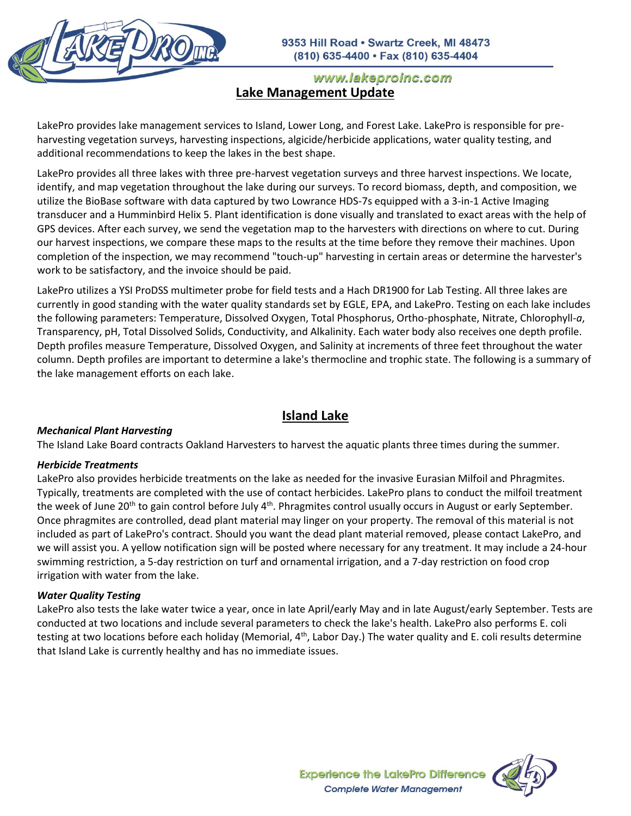

# www.lakeproinc.com **Lake Management Update**

LakePro provides lake management services to Island, Lower Long, and Forest Lake. LakePro is responsible for preharvesting vegetation surveys, harvesting inspections, algicide/herbicide applications, water quality testing, and additional recommendations to keep the lakes in the best shape.

LakePro provides all three lakes with three pre-harvest vegetation surveys and three harvest inspections. We locate, identify, and map vegetation throughout the lake during our surveys. To record biomass, depth, and composition, we utilize the BioBase software with data captured by two Lowrance HDS-7s equipped with a 3-in-1 Active Imaging transducer and a Humminbird Helix 5. Plant identification is done visually and translated to exact areas with the help of GPS devices. After each survey, we send the vegetation map to the harvesters with directions on where to cut. During our harvest inspections, we compare these maps to the results at the time before they remove their machines. Upon completion of the inspection, we may recommend "touch-up" harvesting in certain areas or determine the harvester's work to be satisfactory, and the invoice should be paid.

LakePro utilizes a YSI ProDSS multimeter probe for field tests and a Hach DR1900 for Lab Testing. All three lakes are currently in good standing with the water quality standards set by EGLE, EPA, and LakePro. Testing on each lake includes the following parameters: Temperature, Dissolved Oxygen, Total Phosphorus, Ortho-phosphate, Nitrate, Chlorophyll-*a*, Transparency, pH, Total Dissolved Solids, Conductivity, and Alkalinity. Each water body also receives one depth profile. Depth profiles measure Temperature, Dissolved Oxygen, and Salinity at increments of three feet throughout the water column. Depth profiles are important to determine a lake's thermocline and trophic state. The following is a summary of the lake management efforts on each lake.

# **Island Lake**

## *Mechanical Plant Harvesting*

The Island Lake Board contracts Oakland Harvesters to harvest the aquatic plants three times during the summer.

### *Herbicide Treatments*

LakePro also provides herbicide treatments on the lake as needed for the invasive Eurasian Milfoil and Phragmites. Typically, treatments are completed with the use of contact herbicides. LakePro plans to conduct the milfoil treatment the week of June 20<sup>th</sup> to gain control before July 4<sup>th</sup>. Phragmites control usually occurs in August or early September. Once phragmites are controlled, dead plant material may linger on your property. The removal of this material is not included as part of LakePro's contract. Should you want the dead plant material removed, please contact LakePro, and we will assist you. A yellow notification sign will be posted where necessary for any treatment. It may include a 24-hour swimming restriction, a 5-day restriction on turf and ornamental irrigation, and a 7-day restriction on food crop irrigation with water from the lake.

## *Water Quality Testing*

LakePro also tests the lake water twice a year, once in late April/early May and in late August/early September. Tests are conducted at two locations and include several parameters to check the lake's health. LakePro also performs E. coli testing at two locations before each holiday (Memorial,  $4<sup>th</sup>$ , Labor Day.) The water quality and E. coli results determine that Island Lake is currently healthy and has no immediate issues.